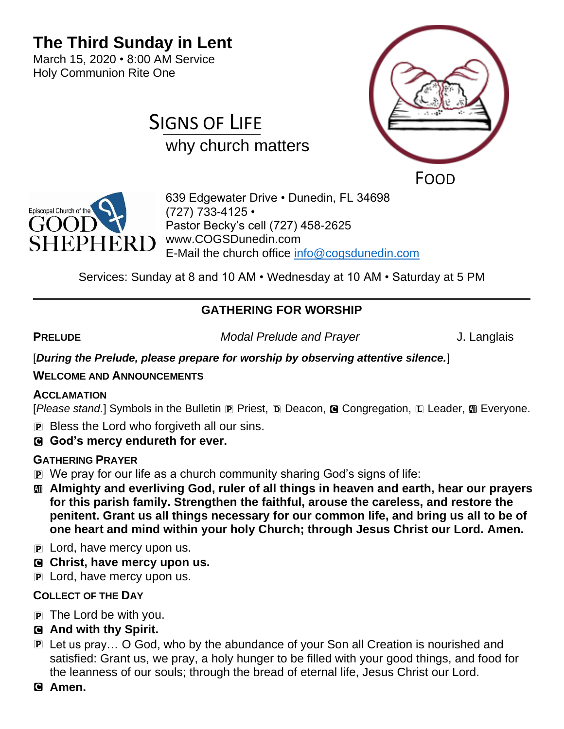## **The Third Sunday in Lent**

March 15, 2020 • 8:00 AM Service Holy Communion Rite One







639 Edgewater Drive • Dunedin, FL 34698 (727) 733-4125 • Pastor Becky's cell (727) 458-2625 www.COGSDunedin.com E-Mail the church office [info@cogsdunedin.com](mailto:info@cogsdunedin.com)

Services: Sunday at 8 and 10 AM • Wednesday at 10 AM • Saturday at 5 PM

## **GATHERING FOR WORSHIP**

**PRELUDE** *Modal Prelude and Prayer* J. Langlais

#### [*During the Prelude, please prepare for worship by observing attentive silence.*]

#### **WELCOME AND ANNOUNCEMENTS**

#### **ACCLAMATION**

[*Please stand.*] Symbols in the Bulletin **P** Priest, **D** Deacon, **G** Congregation, **L** Leader, **M** Everyone.

- P Bless the Lord who forgiveth all our sins.
- C **God's mercy endureth for ever.**

#### **GATHERING PRAYER**

- P We pray for our life as a church community sharing God's signs of life:
- a **Almighty and everliving God, ruler of all things in heaven and earth, hear our prayers for this parish family. Strengthen the faithful, arouse the careless, and restore the penitent. Grant us all things necessary for our common life, and bring us all to be of one heart and mind within your holy Church; through Jesus Christ our Lord. Amen.**
- P Lord, have mercy upon us.
- C **Christ, have mercy upon us.**
- **P** Lord, have mercy upon us.

#### **COLLECT OF THE DAY**

- $\overline{P}$  The Lord be with you.
- C **And with thy Spirit.**
- P Let us pray… O God, who by the abundance of your Son all Creation is nourished and satisfied: Grant us, we pray, a holy hunger to be filled with your good things, and food for the leanness of our souls; through the bread of eternal life, Jesus Christ our Lord.
- C **Amen.**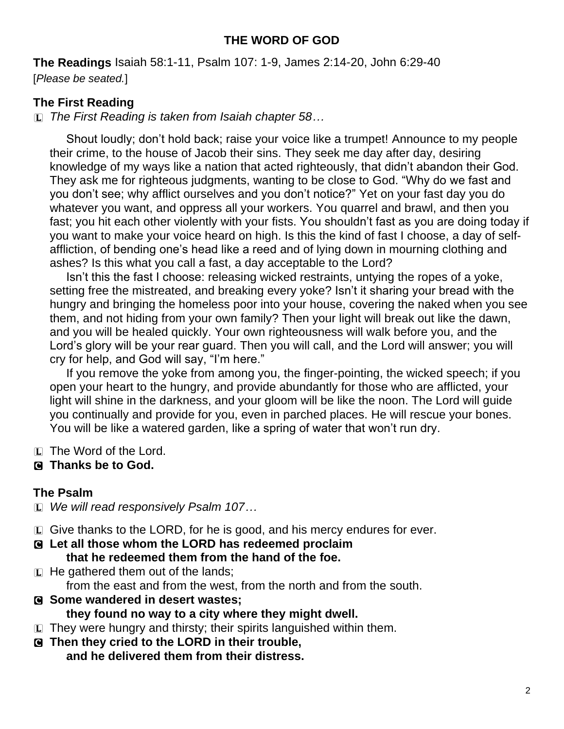#### **THE WORD OF GOD**

**The Readings** Isaiah 58:1-11, Psalm 107: 1-9, James 2:14-20, John 6:29-40

[*Please be seated.*]

#### **The First Reading**

L *The First Reading is taken from Isaiah chapter 58…*

Shout loudly; don't hold back; raise your voice like a trumpet! Announce to my people their crime, to the house of Jacob their sins. They seek me day after day, desiring knowledge of my ways like a nation that acted righteously, that didn't abandon their God. They ask me for righteous judgments, wanting to be close to God. "Why do we fast and you don't see; why afflict ourselves and you don't notice?" Yet on your fast day you do whatever you want, and oppress all your workers. You quarrel and brawl, and then you fast; you hit each other violently with your fists. You shouldn't fast as you are doing today if you want to make your voice heard on high. Is this the kind of fast I choose, a day of selfaffliction, of bending one's head like a reed and of lying down in mourning clothing and ashes? Is this what you call a fast, a day acceptable to the Lord?

Isn't this the fast I choose: releasing wicked restraints, untying the ropes of a yoke, setting free the mistreated, and breaking every yoke? Isn't it sharing your bread with the hungry and bringing the homeless poor into your house, covering the naked when you see them, and not hiding from your own family? Then your light will break out like the dawn, and you will be healed quickly. Your own righteousness will walk before you, and the Lord's glory will be your rear guard. Then you will call, and the Lord will answer; you will cry for help, and God will say, "I'm here."

If you remove the yoke from among you, the finger-pointing, the wicked speech; if you open your heart to the hungry, and provide abundantly for those who are afflicted, your light will shine in the darkness, and your gloom will be like the noon. The Lord will guide you continually and provide for you, even in parched places. He will rescue your bones. You will be like a watered garden, like a spring of water that won't run dry.

L The Word of the Lord.

#### C **Thanks be to God.**

#### **The Psalm**

- L *We will read responsively Psalm 107…*
- L Give thanks to the LORD, for he is good, and his mercy endures for ever.
- C **Let all those whom the LORD has redeemed proclaim that he redeemed them from the hand of the foe.**
- $\Box$  He gathered them out of the lands;

from the east and from the west, from the north and from the south.

- C **Some wandered in desert wastes; they found no way to a city where they might dwell.**
- L They were hungry and thirsty; their spirits languished within them.
- C **Then they cried to the LORD in their trouble, and he delivered them from their distress.**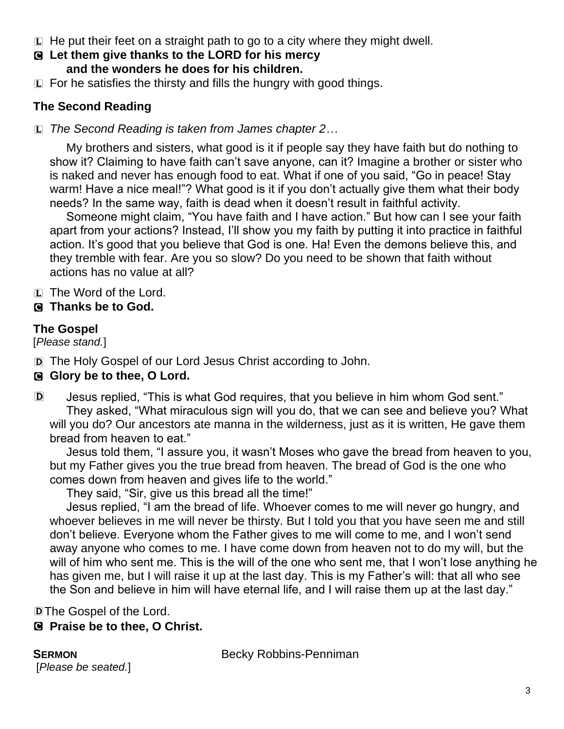- $E$  He put their feet on a straight path to go to a city where they might dwell.
- C **Let them give thanks to the LORD for his mercy and the wonders he does for his children.**
- $\Box$  For he satisfies the thirsty and fills the hungry with good things.

## **The Second Reading**

L *The Second Reading is taken from James chapter 2…*

My brothers and sisters, what good is it if people say they have faith but do nothing to show it? Claiming to have faith can't save anyone, can it? Imagine a brother or sister who is naked and never has enough food to eat. What if one of you said, "Go in peace! Stay warm! Have a nice meal!"? What good is it if you don't actually give them what their body needs? In the same way, faith is dead when it doesn't result in faithful activity.

Someone might claim, "You have faith and I have action." But how can I see your faith apart from your actions? Instead, I'll show you my faith by putting it into practice in faithful action. It's good that you believe that God is one. Ha! Even the demons believe this, and they tremble with fear. Are you so slow? Do you need to be shown that faith without actions has no value at all?

L The Word of the Lord.

## C **Thanks be to God.**

## **The Gospel**

[*Please stand.*]

D The Holy Gospel of our Lord Jesus Christ according to John.

## G Glory be to thee, O Lord.

D Jesus replied, "This is what God requires, that you believe in him whom God sent." They asked, "What miraculous sign will you do, that we can see and believe you? What will you do? Our ancestors ate manna in the wilderness, just as it is written, He gave them bread from heaven to eat."

Jesus told them, "I assure you, it wasn't Moses who gave the bread from heaven to you, but my Father gives you the true bread from heaven. The bread of God is the one who comes down from heaven and gives life to the world."

They said, "Sir, give us this bread all the time!"

Jesus replied, "I am the bread of life. Whoever comes to me will never go hungry, and whoever believes in me will never be thirsty. But I told you that you have seen me and still don't believe. Everyone whom the Father gives to me will come to me, and I won't send away anyone who comes to me. I have come down from heaven not to do my will, but the will of him who sent me. This is the will of the one who sent me, that I won't lose anything he has given me, but I will raise it up at the last day. This is my Father's will: that all who see the Son and believe in him will have eternal life, and I will raise them up at the last day."

DThe Gospel of the Lord.

## C **Praise be to thee, O Christ.**

**SERMON** Becky Robbins-Penniman

```
[Please be seated.]
```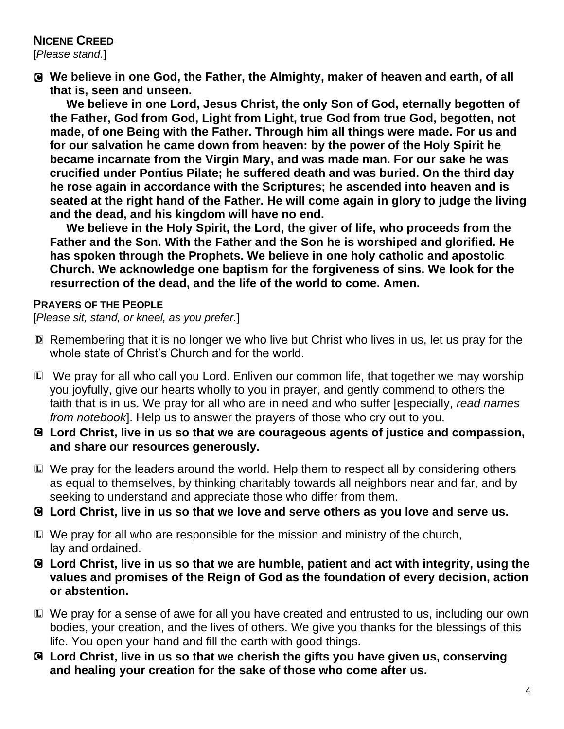# **NICENE CREED**

[*Please stand.*]

C **We believe in one God, the Father, the Almighty, maker of heaven and earth, of all that is, seen and unseen.** 

**We believe in one Lord, Jesus Christ, the only Son of God, eternally begotten of the Father, God from God, Light from Light, true God from true God, begotten, not made, of one Being with the Father. Through him all things were made. For us and for our salvation he came down from heaven: by the power of the Holy Spirit he became incarnate from the Virgin Mary, and was made man. For our sake he was crucified under Pontius Pilate; he suffered death and was buried. On the third day he rose again in accordance with the Scriptures; he ascended into heaven and is seated at the right hand of the Father. He will come again in glory to judge the living and the dead, and his kingdom will have no end.**

**We believe in the Holy Spirit, the Lord, the giver of life, who proceeds from the Father and the Son. With the Father and the Son he is worshiped and glorified. He has spoken through the Prophets. We believe in one holy catholic and apostolic Church. We acknowledge one baptism for the forgiveness of sins. We look for the resurrection of the dead, and the life of the world to come. Amen.**

#### **PRAYERS OF THE PEOPLE**

[*Please sit, stand, or kneel, as you prefer.*]

- D Remembering that it is no longer we who live but Christ who lives in us, let us pray for the whole state of Christ's Church and for the world.
- L We pray for all who call you Lord. Enliven our common life, that together we may worship you joyfully, give our hearts wholly to you in prayer, and gently commend to others the faith that is in us. We pray for all who are in need and who suffer [especially, *read names from notebook*]. Help us to answer the prayers of those who cry out to you.
- C **Lord Christ, live in us so that we are courageous agents of justice and compassion, and share our resources generously.**
- L We pray for the leaders around the world. Help them to respect all by considering others as equal to themselves, by thinking charitably towards all neighbors near and far, and by seeking to understand and appreciate those who differ from them.
- C **Lord Christ, live in us so that we love and serve others as you love and serve us.**
- L We pray for all who are responsible for the mission and ministry of the church, lay and ordained.
- C **Lord Christ, live in us so that we are humble, patient and act with integrity, using the values and promises of the Reign of God as the foundation of every decision, action or abstention.**
- L We pray for a sense of awe for all you have created and entrusted to us, including our own bodies, your creation, and the lives of others. We give you thanks for the blessings of this life. You open your hand and fill the earth with good things.
- C **Lord Christ, live in us so that we cherish the gifts you have given us, conserving and healing your creation for the sake of those who come after us.**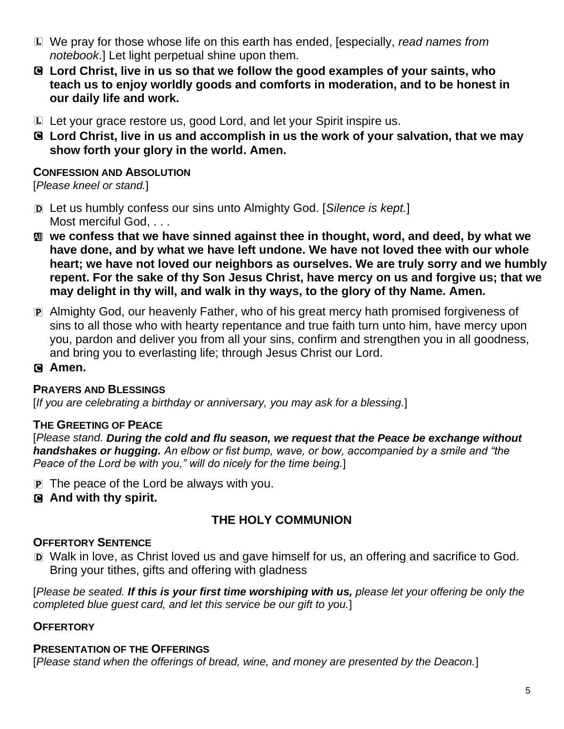- L We pray for those whose life on this earth has ended, [especially, *read names from notebook*.] Let light perpetual shine upon them.
- C **Lord Christ, live in us so that we follow the good examples of your saints, who teach us to enjoy worldly goods and comforts in moderation, and to be honest in our daily life and work.**
- L Let your grace restore us, good Lord, and let your Spirit inspire us.
- C **Lord Christ, live in us and accomplish in us the work of your salvation, that we may show forth your glory in the world. Amen.**

#### **CONFESSION AND ABSOLUTION**

```
[Please kneel or stand.]
```
- D Let us humbly confess our sins unto Almighty God. [*Silence is kept.*] Most merciful God, . . .
- $\textbf{m}$  **we confess that we have sinned against thee in thought, word, and deed, by what we have done, and by what we have left undone. We have not loved thee with our whole heart; we have not loved our neighbors as ourselves. We are truly sorry and we humbly repent. For the sake of thy Son Jesus Christ, have mercy on us and forgive us; that we may delight in thy will, and walk in thy ways, to the glory of thy Name. Amen.**
- P Almighty God, our heavenly Father, who of his great mercy hath promised forgiveness of sins to all those who with hearty repentance and true faith turn unto him, have mercy upon you, pardon and deliver you from all your sins, confirm and strengthen you in all goodness, and bring you to everlasting life; through Jesus Christ our Lord.
- C **Amen.**

#### **PRAYERS AND BLESSINGS**

[*If you are celebrating a birthday or anniversary, you may ask for a blessing.*]

#### **THE GREETING OF PEACE**

[*Please stand. During the cold and flu season, we request that the Peace be exchange without handshakes or hugging. An elbow or fist bump, wave, or bow, accompanied by a smile and "the Peace of the Lord be with you," will do nicely for the time being.*]

- P The peace of the Lord be always with you.
- C **And with thy spirit.**

## **THE HOLY COMMUNION**

## **OFFERTORY SENTENCE**

D Walk in love, as Christ loved us and gave himself for us, an offering and sacrifice to God. Bring your tithes, gifts and offering with gladness

[*Please be seated. If this is your first time worshiping with us, please let your offering be only the completed blue guest card, and let this service be our gift to you.*]

#### **OFFERTORY**

#### **PRESENTATION OF THE OFFERINGS**

[*Please stand when the offerings of bread, wine, and money are presented by the Deacon.*]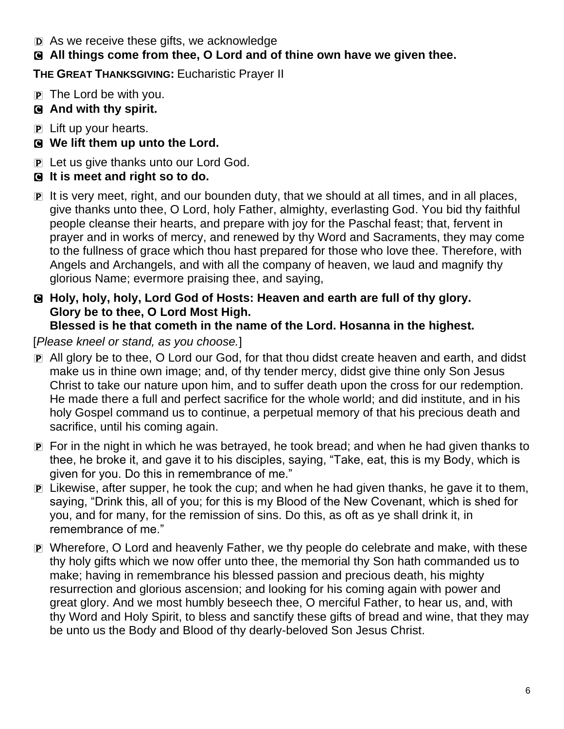D As we receive these gifts, we acknowledge

## C **All things come from thee, O Lord and of thine own have we given thee.**

**THE GREAT THANKSGIVING:** Eucharistic Prayer II

- P The Lord be with you.
- C **And with thy spirit.**
- P Lift up your hearts.
- C **We lift them up unto the Lord.**
- P Let us give thanks unto our Lord God.
- C **It is meet and right so to do.**
- P It is very meet, right, and our bounden duty, that we should at all times, and in all places, give thanks unto thee, O Lord, holy Father, almighty, everlasting God. You bid thy faithful people cleanse their hearts, and prepare with joy for the Paschal feast; that, fervent in prayer and in works of mercy, and renewed by thy Word and Sacraments, they may come to the fullness of grace which thou hast prepared for those who love thee. Therefore, with Angels and Archangels, and with all the company of heaven, we laud and magnify thy glorious Name; evermore praising thee, and saying,
- C **Holy, holy, holy, Lord God of Hosts: Heaven and earth are full of thy glory. Glory be to thee, O Lord Most High.**

## **Blessed is he that cometh in the name of the Lord. Hosanna in the highest.**

[*Please kneel or stand, as you choose.*]

- P All glory be to thee, O Lord our God, for that thou didst create heaven and earth, and didst make us in thine own image; and, of thy tender mercy, didst give thine only Son Jesus Christ to take our nature upon him, and to suffer death upon the cross for our redemption. He made there a full and perfect sacrifice for the whole world; and did institute, and in his holy Gospel command us to continue, a perpetual memory of that his precious death and sacrifice, until his coming again.
- P For in the night in which he was betrayed, he took bread; and when he had given thanks to thee, he broke it, and gave it to his disciples, saying, "Take, eat, this is my Body, which is given for you. Do this in remembrance of me."
- $\mathbb{P}$  Likewise, after supper, he took the cup; and when he had given thanks, he gave it to them, saying, "Drink this, all of you; for this is my Blood of the New Covenant, which is shed for you, and for many, for the remission of sins. Do this, as oft as ye shall drink it, in remembrance of me."
- P Wherefore, O Lord and heavenly Father, we thy people do celebrate and make, with these thy holy gifts which we now offer unto thee, the memorial thy Son hath commanded us to make; having in remembrance his blessed passion and precious death, his mighty resurrection and glorious ascension; and looking for his coming again with power and great glory. And we most humbly beseech thee, O merciful Father, to hear us, and, with thy Word and Holy Spirit, to bless and sanctify these gifts of bread and wine, that they may be unto us the Body and Blood of thy dearly-beloved Son Jesus Christ.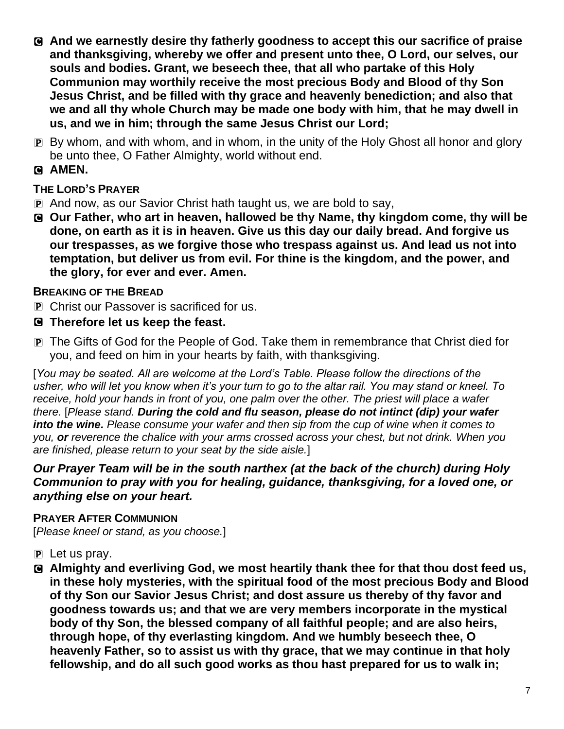- C **And we earnestly desire thy fatherly goodness to accept this our sacrifice of praise and thanksgiving, whereby we offer and present unto thee, O Lord, our selves, our souls and bodies. Grant, we beseech thee, that all who partake of this Holy Communion may worthily receive the most precious Body and Blood of thy Son Jesus Christ, and be filled with thy grace and heavenly benediction; and also that we and all thy whole Church may be made one body with him, that he may dwell in us, and we in him; through the same Jesus Christ our Lord;**
- P By whom, and with whom, and in whom, in the unity of the Holy Ghost all honor and glory be unto thee, O Father Almighty, world without end.
- C **AMEN.**

## **THE LORD'S PRAYER**

- P And now, as our Savior Christ hath taught us, we are bold to say,
- C **Our Father, who art in heaven, hallowed be thy Name, thy kingdom come, thy will be done, on earth as it is in heaven. Give us this day our daily bread. And forgive us our trespasses, as we forgive those who trespass against us. And lead us not into temptation, but deliver us from evil. For thine is the kingdom, and the power, and the glory, for ever and ever. Amen.**

#### **BREAKING OF THE BREAD**

- P Christ our Passover is sacrificed for us.
- C **Therefore let us keep the feast.**
- P The Gifts of God for the People of God. Take them in remembrance that Christ died for you, and feed on him in your hearts by faith, with thanksgiving.

[*You may be seated. All are welcome at the Lord's Table. Please follow the directions of the usher, who will let you know when it's your turn to go to the altar rail. You may stand or kneel. To receive, hold your hands in front of you, one palm over the other. The priest will place a wafer there.* [*Please stand. During the cold and flu season, please do not intinct (dip) your wafer into the wine. Please consume your wafer and then sip from the cup of wine when it comes to you, or reverence the chalice with your arms crossed across your chest, but not drink. When you are finished, please return to your seat by the side aisle.*]

#### *Our Prayer Team will be in the south narthex (at the back of the church) during Holy Communion to pray with you for healing, guidance, thanksgiving, for a loved one, or anything else on your heart.*

#### **PRAYER AFTER COMMUNION**

[*Please kneel or stand, as you choose.*]

- $\mathbf{P}$  Let us pray.
- C **Almighty and everliving God, we most heartily thank thee for that thou dost feed us, in these holy mysteries, with the spiritual food of the most precious Body and Blood of thy Son our Savior Jesus Christ; and dost assure us thereby of thy favor and goodness towards us; and that we are very members incorporate in the mystical body of thy Son, the blessed company of all faithful people; and are also heirs, through hope, of thy everlasting kingdom. And we humbly beseech thee, O heavenly Father, so to assist us with thy grace, that we may continue in that holy fellowship, and do all such good works as thou hast prepared for us to walk in;**